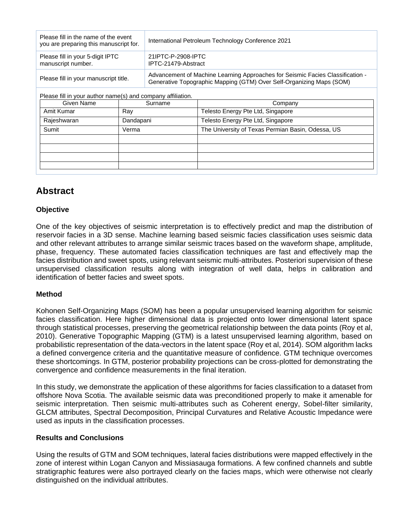| Please fill in the name of the event<br>you are preparing this manuscript for. | International Petroleum Technology Conference 2021                                                                                                     |  |
|--------------------------------------------------------------------------------|--------------------------------------------------------------------------------------------------------------------------------------------------------|--|
| Please fill in your 5-digit IPTC<br>manuscript number.                         | 21IPTC-P-2908-IPTC<br>IPTC-21479-Abstract                                                                                                              |  |
| Please fill in your manuscript title.                                          | Advancement of Machine Learning Approaches for Seismic Facies Classification -<br>Generative Topographic Mapping (GTM) Over Self-Organizing Maps (SOM) |  |

Please fill in your author name(s) and company affiliation.

| Given Name  | Surname   | Company                                           |
|-------------|-----------|---------------------------------------------------|
| Amit Kumar  | Ray       | Telesto Energy Pte Ltd, Singapore                 |
| Rajeshwaran | Dandapani | Telesto Energy Pte Ltd, Singapore                 |
| Sumit       | Verma     | The University of Texas Permian Basin, Odessa, US |
|             |           |                                                   |
|             |           |                                                   |
|             |           |                                                   |
|             |           |                                                   |

# **Abstract**

## **Objective**

One of the key objectives of seismic interpretation is to effectively predict and map the distribution of reservoir facies in a 3D sense. Machine learning based seismic facies classification uses seismic data and other relevant attributes to arrange similar seismic traces based on the waveform shape, amplitude, phase, frequency. These automated facies classification techniques are fast and effectively map the facies distribution and sweet spots, using relevant seismic multi-attributes. Posteriori supervision of these unsupervised classification results along with integration of well data, helps in calibration and identification of better facies and sweet spots.

## **Method**

Kohonen Self-Organizing Maps (SOM) has been a popular unsupervised learning algorithm for seismic facies classification. Here higher dimensional data is projected onto lower dimensional latent space through statistical processes, preserving the geometrical relationship between the data points (Roy et al, 2010). Generative Topographic Mapping (GTM) is a latest unsupervised learning algorithm, based on probabilistic representation of the data-vectors in the latent space (Roy et al, 2014). SOM algorithm lacks a defined convergence criteria and the quantitative measure of confidence. GTM technique overcomes these shortcomings. In GTM, posterior probability projections can be cross-plotted for demonstrating the convergence and confidence measurements in the final iteration.

In this study, we demonstrate the application of these algorithms for facies classification to a dataset from offshore Nova Scotia. The available seismic data was preconditioned properly to make it amenable for seismic interpretation. Then seismic multi-attributes such as Coherent energy, Sobel-filter similarity, GLCM attributes, Spectral Decomposition, Principal Curvatures and Relative Acoustic Impedance were used as inputs in the classification processes.

## **Results and Conclusions**

Using the results of GTM and SOM techniques, lateral facies distributions were mapped effectively in the zone of interest within Logan Canyon and Missiasauga formations. A few confined channels and subtle stratigraphic features were also portrayed clearly on the facies maps, which were otherwise not clearly distinguished on the individual attributes.